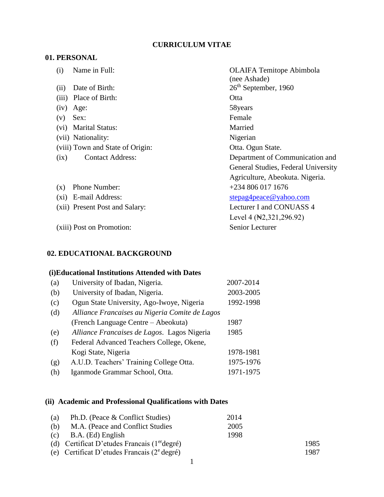## **CURRICULUM VITAE**

# **01. PERSONAL**

| Name in Full:<br>(i)             | <b>OLAIFA</b> Temitope Abimbola     |
|----------------------------------|-------------------------------------|
|                                  | (nee Ashade)                        |
| Date of Birth:<br>(ii)           | $26th$ September, 1960              |
| Place of Birth:<br>(iii)         | Otta                                |
| (iv)<br>Age:                     | 58years                             |
| Sex:<br>(v)                      | Female                              |
| <b>Marital Status:</b><br>(vi)   | Married                             |
| (vii) Nationality:               | Nigerian                            |
| (viii) Town and State of Origin: | Otta. Ogun State.                   |
| <b>Contact Address:</b><br>(ix)  | Department of Communication and     |
|                                  | General Studies, Federal University |
|                                  | Agriculture, Abeokuta. Nigeria.     |
| Phone Number:<br>$(\mathbf{x})$  | $+2348060171676$                    |
| (xi) E-mail Address:             | stepag4peace@yahoo.com              |
| (xii) Present Post and Salary:   | Lecturer I and CONUASS 4            |
|                                  | Level 4 (N2, 321, 296.92)           |
| (xiii) Post on Promotion:        | Senior Lecturer                     |
|                                  |                                     |

# **02. EDUCATIONAL BACKGROUND**

# **(i)Educational Institutions Attended with Dates**

| (a) | University of Ibadan, Nigeria.                 | 2007-2014 |
|-----|------------------------------------------------|-----------|
| (b) | University of Ibadan, Nigeria.                 | 2003-2005 |
| (c) | Ogun State University, Ago-Iwoye, Nigeria      | 1992-1998 |
| (d) | Alliance Francaises au Nigeria Comite de Lagos |           |
|     | (French Language Centre – Abeokuta)            | 1987      |
| (e) | Alliance Francaises de Lagos. Lagos Nigeria    | 1985      |
| (f) | Federal Advanced Teachers College, Okene,      |           |
|     | Kogi State, Nigeria                            | 1978-1981 |
| (g) | A.U.D. Teachers' Training College Otta.        | 1975-1976 |
| (h) | Iganmode Grammar School, Otta.                 | 1971-1975 |

# **(ii) Academic and Professional Qualifications with Dates**

| (a) | Ph.D. (Peace & Conflict Studies)                        | 2014 |      |
|-----|---------------------------------------------------------|------|------|
| (b) | M.A. (Peace and Conflict Studies                        | 2005 |      |
| (c) | B.A. (Ed) English                                       | 1998 |      |
|     | (d) Certificat D'etudes Francais ( $1erdegr\acute{e}$ ) |      | 1985 |
|     | (e) Certificat D'etudes Francais ( $2^e$ degré)         |      | 1987 |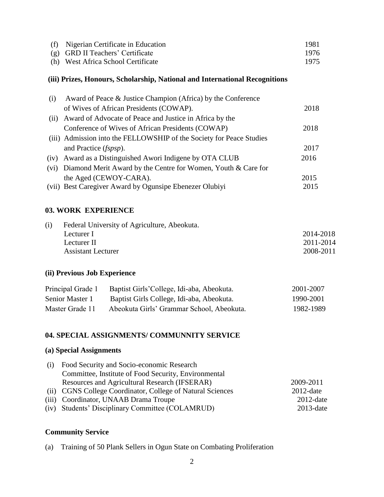| (f) Nigerian Certificate in Education | 1981. |
|---------------------------------------|-------|
| (g) GRD II Teachers' Certificate      | 1976  |
| (h) West Africa School Certificate    | 1975  |

## **(iii) Prizes, Honours, Scholarship, National and International Recognitions**

| (i)  | Award of Peace & Justice Champion (Africa) by the Conference         |      |
|------|----------------------------------------------------------------------|------|
|      | of Wives of African Presidents (COWAP).                              | 2018 |
| (11) | Award of Advocate of Peace and Justice in Africa by the              |      |
|      | Conference of Wives of African Presidents (COWAP)                    | 2018 |
|      | (iii) Admission into the FELLOWSHIP of the Society for Peace Studies |      |
|      | and Practice <i>(fspsp)</i> .                                        | 2017 |
| (iv) | Award as a Distinguished Awori Indigene by OTA CLUB                  | 2016 |
|      | (vi) Diamond Merit Award by the Centre for Women, Youth & Care for   |      |
|      | the Aged (CEWOY-CARA).                                               | 2015 |
|      | (vii) Best Caregiver Award by Ogunsipe Ebenezer Olubiyi              | 2015 |

#### **03. WORK EXPERIENCE**

| (i) | Federal University of Agriculture, Abeokuta. |           |
|-----|----------------------------------------------|-----------|
|     | Lecturer I                                   | 2014-2018 |
|     | Lecturer II                                  | 2011-2014 |
|     | <b>Assistant Lecturer</b>                    | 2008-2011 |
|     |                                              |           |

# **(ii) Previous Job Experience**

| Principal Grade 1 | Baptist Girls'College, Idi-aba, Abeokuta. | 2001-2007 |
|-------------------|-------------------------------------------|-----------|
| Senior Master 1   | Baptist Girls College, Idi-aba, Abeokuta. | 1990-2001 |
| Master Grade 11   | Abeokuta Girls' Grammar School, Abeokuta. | 1982-1989 |

### **04. SPECIAL ASSIGNMENTS/ COMMUNNITY SERVICE**

# **(a) Special Assignments**

| Committee, Institute of Food Security, Environmental       |              |
|------------------------------------------------------------|--------------|
|                                                            |              |
| Resources and Agricultural Research (IFSERAR)              | 2009-2011    |
| (ii) CGNS College Coordinator, College of Natural Sciences | $2012$ -date |
| (iii) Coordinator, UNAAB Drama Troupe                      | $2012$ -date |
| (iv) Students' Disciplinary Committee (COLAMRUD)           | $2013$ -date |

## **Community Service**

(a) Training of 50 Plank Sellers in Ogun State on Combating Proliferation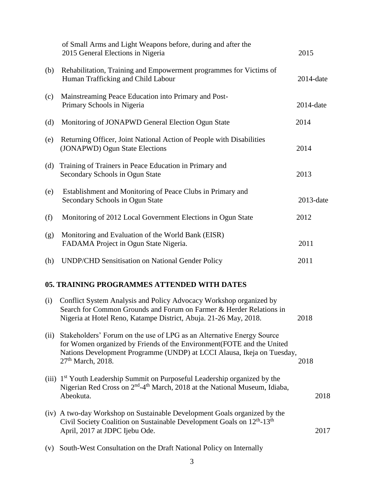|      | of Small Arms and Light Weapons before, during and after the<br>2015 General Elections in Nigeria                                                                                                                                                         | 2015         |  |
|------|-----------------------------------------------------------------------------------------------------------------------------------------------------------------------------------------------------------------------------------------------------------|--------------|--|
| (b)  | Rehabilitation, Training and Empowerment programmes for Victims of<br>Human Trafficking and Child Labour                                                                                                                                                  | $2014$ -date |  |
| (c)  | Mainstreaming Peace Education into Primary and Post-<br>Primary Schools in Nigeria                                                                                                                                                                        | $2014$ -date |  |
| (d)  | Monitoring of JONAPWD General Election Ogun State                                                                                                                                                                                                         | 2014         |  |
| (e)  | Returning Officer, Joint National Action of People with Disabilities<br>(JONAPWD) Ogun State Elections                                                                                                                                                    | 2014         |  |
| (d)  | Training of Trainers in Peace Education in Primary and<br>Secondary Schools in Ogun State                                                                                                                                                                 | 2013         |  |
| (e)  | Establishment and Monitoring of Peace Clubs in Primary and<br>Secondary Schools in Ogun State                                                                                                                                                             | $2013$ -date |  |
| (f)  | Monitoring of 2012 Local Government Elections in Ogun State                                                                                                                                                                                               | 2012         |  |
| (g)  | Monitoring and Evaluation of the World Bank (EISR)<br>FADAMA Project in Ogun State Nigeria.                                                                                                                                                               | 2011         |  |
| (h)  | <b>UNDP/CHD Sensitisation on National Gender Policy</b>                                                                                                                                                                                                   | 2011         |  |
|      | 05. TRAINING PROGRAMMES ATTENDED WITH DATES                                                                                                                                                                                                               |              |  |
| (i)  | Conflict System Analysis and Policy Advocacy Workshop organized by<br>Search for Common Grounds and Forum on Farmer & Herder Relations in<br>Nigeria at Hotel Reno, Katampe District, Abuja. 21-26 May, 2018.                                             | 2018         |  |
| (ii) | Stakeholders' Forum on the use of LPG as an Alternative Energy Source<br>for Women organized by Friends of the Environment(FOTE and the United<br>Nations Development Programme (UNDP) at LCCI Alausa, Ikeja on Tuesday,<br>27 <sup>th</sup> March, 2018. | 2018         |  |
|      | (iii) 1 <sup>st</sup> Youth Leadership Summit on Purposeful Leadership organized by the<br>Nigerian Red Cross on 2 <sup>nd</sup> -4 <sup>th</sup> March, 2018 at the National Museum, Idiaba,<br>Abeokuta.                                                | 2018         |  |
|      | (iv) A two-day Workshop on Sustainable Development Goals organized by the<br>Civil Society Coalition on Sustainable Development Goals on 12 <sup>th</sup> -13 <sup>th</sup><br>April, 2017 at JDPC Ijebu Ode.                                             | 2017         |  |

(v) South-West Consultation on the Draft National Policy on Internally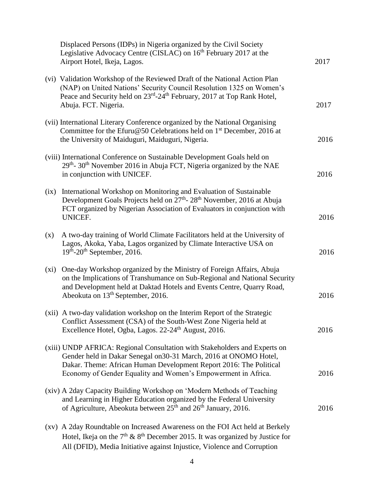|      | Displaced Persons (IDPs) in Nigeria organized by the Civil Society<br>Legislative Advocacy Centre (CISLAC) on 16 <sup>th</sup> February 2017 at the<br>Airport Hotel, Ikeja, Lagos.                                                                                                    | 2017 |
|------|----------------------------------------------------------------------------------------------------------------------------------------------------------------------------------------------------------------------------------------------------------------------------------------|------|
|      | (vi) Validation Workshop of the Reviewed Draft of the National Action Plan<br>(NAP) on United Nations' Security Council Resolution 1325 on Women's<br>Peace and Security held on 23 <sup>rd</sup> -24 <sup>th</sup> February, 2017 at Top Rank Hotel,<br>Abuja. FCT. Nigeria.          | 2017 |
|      | (vii) International Literary Conference organized by the National Organising<br>Committee for the Efuru@50 Celebrations held on 1 <sup>st</sup> December, 2016 at<br>the University of Maiduguri, Maiduguri, Nigeria.                                                                  | 2016 |
|      | (viii) International Conference on Sustainable Development Goals held on<br>29 <sup>th</sup> -30 <sup>th</sup> November 2016 in Abuja FCT, Nigeria organized by the NAE<br>in conjunction with UNICEF.                                                                                 | 2016 |
| (ix) | International Workshop on Monitoring and Evaluation of Sustainable<br>Development Goals Projects held on 27 <sup>th</sup> -28 <sup>th</sup> November, 2016 at Abuja<br>FCT organized by Nigerian Association of Evaluators in conjunction with<br><b>UNICEF.</b>                       | 2016 |
| (x)  | A two-day training of World Climate Facilitators held at the University of<br>Lagos, Akoka, Yaba, Lagos organized by Climate Interactive USA on<br>$19th$ -20 <sup>th</sup> September, 2016.                                                                                           | 2016 |
| (xi) | One-day Workshop organized by the Ministry of Foreign Affairs, Abuja<br>on the Implications of Transhumance on Sub-Regional and National Security<br>and Development held at Daktad Hotels and Events Centre, Quarry Road,<br>Abeokuta on 13 <sup>th</sup> September, 2016.            | 2016 |
|      | (xii) A two-day validation workshop on the Interim Report of the Strategic<br>Conflict Assessment (CSA) of the South-West Zone Nigeria held at<br>Excellence Hotel, Ogba, Lagos. 22-24 <sup>th</sup> August, 2016.                                                                     | 2016 |
|      | (xiii) UNDP AFRICA: Regional Consultation with Stakeholders and Experts on<br>Gender held in Dakar Senegal on 30-31 March, 2016 at ONOMO Hotel,<br>Dakar. Theme: African Human Development Report 2016: The Political<br>Economy of Gender Equality and Women's Empowerment in Africa. | 2016 |
|      | (xiv) A 2day Capacity Building Workshop on 'Modern Methods of Teaching<br>and Learning in Higher Education organized by the Federal University<br>of Agriculture, Abeokuta between 25 <sup>th</sup> and 26 <sup>th</sup> January, 2016.                                                | 2016 |
|      | (xv) A 2day Roundtable on Increased Awareness on the FOI Act held at Berkely<br>Hotel, Ikeja on the $7th$ & $8th$ December 2015. It was organized by Justice for                                                                                                                       |      |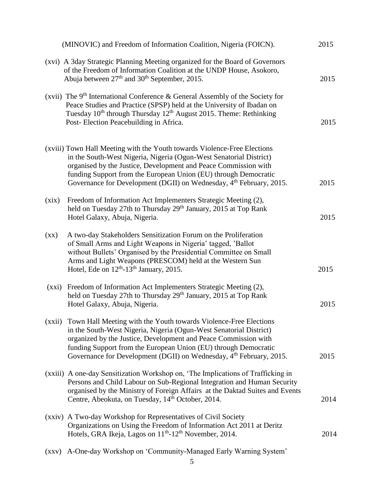|                          | (MINOVIC) and Freedom of Information Coalition, Nigeria (FOICN).                                                                                                                                                                                                                                                                                                        | 2015 |
|--------------------------|-------------------------------------------------------------------------------------------------------------------------------------------------------------------------------------------------------------------------------------------------------------------------------------------------------------------------------------------------------------------------|------|
|                          | (xvi) A 3day Strategic Planning Meeting organized for the Board of Governors<br>of the Freedom of Information Coalition at the UNDP House, Asokoro,<br>Abuja between $27th$ and $30th$ September, 2015.                                                                                                                                                                 | 2015 |
|                          | (xvii) The $9th$ International Conference & General Assembly of the Society for<br>Peace Studies and Practice (SPSP) held at the University of Ibadan on<br>Tuesday 10 <sup>th</sup> through Thursday 12 <sup>th</sup> August 2015. Theme: Rethinking<br>Post-Election Peacebuilding in Africa.                                                                         | 2015 |
|                          | (xviii) Town Hall Meeting with the Youth towards Violence-Free Elections<br>in the South-West Nigeria, Nigeria (Ogun-West Senatorial District)<br>organised by the Justice, Development and Peace Commission with<br>funding Support from the European Union (EU) through Democratic<br>Governance for Development (DGII) on Wednesday, 4 <sup>th</sup> February, 2015. | 2015 |
| (xix)                    | Freedom of Information Act Implementers Strategic Meeting (2),<br>held on Tuesday 27th to Thursday 29 <sup>th</sup> January, 2015 at Top Rank<br>Hotel Galaxy, Abuja, Nigeria.                                                                                                                                                                                          | 2015 |
| $(\mathbf{X}\mathbf{X})$ | A two-day Stakeholders Sensitization Forum on the Proliferation<br>of Small Arms and Light Weapons in Nigeria' tagged, 'Ballot<br>without Bullets' Organised by the Presidential Committee on Small<br>Arms and Light Weapons (PRESCOM) held at the Western Sun<br>Hotel, Ede on $12th$ -13 <sup>th</sup> January, 2015.                                                | 2015 |
|                          | (xxi) Freedom of Information Act Implementers Strategic Meeting (2),<br>held on Tuesday 27th to Thursday 29 <sup>th</sup> January, 2015 at Top Rank<br>Hotel Galaxy, Abuja, Nigeria.                                                                                                                                                                                    | 2015 |
|                          | (xxii) Town Hall Meeting with the Youth towards Violence-Free Elections<br>in the South-West Nigeria, Nigeria (Ogun-West Senatorial District)<br>organized by the Justice, Development and Peace Commission with<br>funding Support from the European Union (EU) through Democratic<br>Governance for Development (DGII) on Wednesday, 4 <sup>th</sup> February, 2015.  | 2015 |
|                          | (xxiii) A one-day Sensitization Workshop on, 'The Implications of Trafficking in<br>Persons and Child Labour on Sub-Regional Integration and Human Security<br>organised by the Ministry of Foreign Affairs at the Daktad Suites and Events<br>Centre, Abeokuta, on Tuesday, 14 <sup>th</sup> October, 2014.                                                            | 2014 |
|                          | (xxiv) A Two-day Workshop for Representatives of Civil Society<br>Organizations on Using the Freedom of Information Act 2011 at Deritz<br>Hotels, GRA Ikeja, Lagos on 11 <sup>th</sup> -12 <sup>th</sup> November, 2014.                                                                                                                                                | 2014 |
| (XXV)                    | A-One-day Workshop on 'Community-Managed Early Warning System'                                                                                                                                                                                                                                                                                                          |      |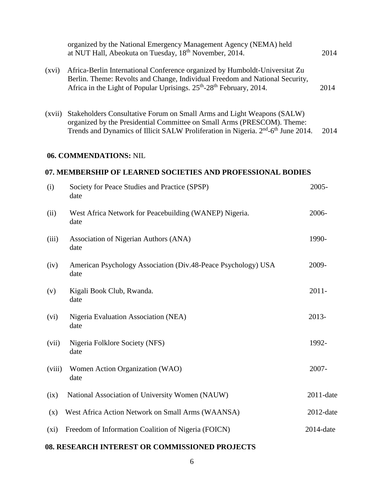|         | organized by the National Emergency Management Agency (NEMA) held<br>at NUT Hall, Abeokuta on Tuesday, 18 <sup>th</sup> November, 2014.                                                                                                                        | 2014         |
|---------|----------------------------------------------------------------------------------------------------------------------------------------------------------------------------------------------------------------------------------------------------------------|--------------|
| (xvi)   | Africa-Berlin International Conference organized by Humboldt-Universitat Zu<br>Berlin. Theme: Revolts and Change, Individual Freedom and National Security,<br>Africa in the Light of Popular Uprisings. 25 <sup>th</sup> -28 <sup>th</sup> February, 2014.    | 2014         |
| (xvii)  | Stakeholders Consultative Forum on Small Arms and Light Weapons (SALW)<br>organized by the Presidential Committee on Small Arms (PRESCOM). Theme:<br>Trends and Dynamics of Illicit SALW Proliferation in Nigeria. 2 <sup>nd</sup> -6 <sup>th</sup> June 2014. | 2014         |
|         | 06. COMMENDATIONS: NIL                                                                                                                                                                                                                                         |              |
|         | 07. MEMBERSHIP OF LEARNED SOCIETIES AND PROFESSIONAL BODIES                                                                                                                                                                                                    |              |
| (i)     | Society for Peace Studies and Practice (SPSP)<br>date                                                                                                                                                                                                          | 2005-        |
| (ii)    | West Africa Network for Peacebuilding (WANEP) Nigeria.<br>date                                                                                                                                                                                                 | 2006-        |
| (iii)   | Association of Nigerian Authors (ANA)<br>date                                                                                                                                                                                                                  | 1990-        |
| (iv)    | American Psychology Association (Div.48-Peace Psychology) USA<br>date                                                                                                                                                                                          | 2009-        |
| (v)     | Kigali Book Club, Rwanda.<br>date                                                                                                                                                                                                                              | $2011 -$     |
| (vi)    | Nigeria Evaluation Association (NEA)<br>date                                                                                                                                                                                                                   | 2013-        |
| (vii)   | Nigeria Folklore Society (NFS)<br>date                                                                                                                                                                                                                         | 1992-        |
| (viii)  | Women Action Organization (WAO)<br>date                                                                                                                                                                                                                        | 2007-        |
| (ix)    | National Association of University Women (NAUW)                                                                                                                                                                                                                | 2011-date    |
| (x)     | West Africa Action Network on Small Arms (WAANSA)                                                                                                                                                                                                              | $2012$ -date |
| $(x_i)$ | Freedom of Information Coalition of Nigeria (FOICN)                                                                                                                                                                                                            | $2014$ -date |
|         |                                                                                                                                                                                                                                                                |              |

# **08. RESEARCH INTEREST OR COMMISSIONED PROJECTS**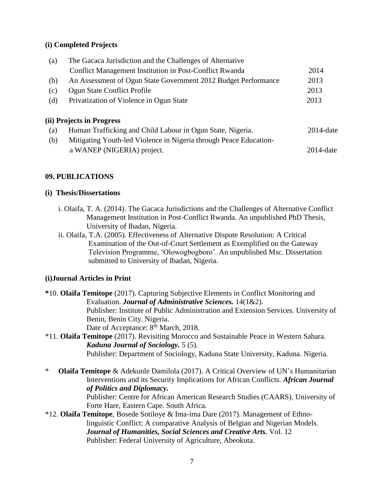## **(i) Completed Projects**

| (a) | The Gacaca Jurisdiction and the Challenges of Alternative         |              |
|-----|-------------------------------------------------------------------|--------------|
|     | Conflict Management Institution in Post-Conflict Rwanda           | 2014         |
| (b) | An Assessment of Ogun State Government 2012 Budget Performance    | 2013         |
| (c) | Ogun State Conflict Profile                                       | 2013         |
| (d) | Privatization of Violence in Ogun State                           | 2013         |
|     | (ii) Projects in Progress                                         |              |
| (a) | Human Trafficking and Child Labour in Ogun State, Nigeria.        | $2014$ -date |
| (b) | Mitigating Youth-led Violence in Nigeria through Peace Education- |              |

# a WANEP (NIGERIA) project. 2014-date

## **09. PUBLICATIONS**

#### **(i) Thesis/Dissertations**

- i. Olaifa, T. A. (2014). The Gacaca Jurisdictions and the Challenges of Alternative Conflict Management Institution in Post-Conflict Rwanda. An unpublished PhD Thesis, University of Ibadan, Nigeria.
- ii. Olaifa, T.A. (2005). Effectiveness of Alternative Dispute Resolution: A Critical Examination of the Out-of-Court Settlement as Exemplified on the Gateway Television Programme, 'Olowogbogboro'. An unpublished Msc. Dissertation submitted to University of Ibadan, Nigeria.

## **(i)Journal Articles in Print**

**\***10. **Olaifa Temitope** (2017). Capturing Subjective Elements in Conflict Monitoring and Evaluation. *Journal of Administrative Sciences.* 14(1&2). Publisher: Institute of Public Administration and Extension Services. University of Benin, Benin City. Nigeria. Date of Acceptance: 8<sup>th</sup> March, 2018.

## \*11. **Olaifa Temitope** (2017). Revisiting Morocco and Sustainable Peace in Western Sahara. *Kaduna Journal of Sociology.* 5 (5). Publisher: Department of Sociology, Kaduna State University, Kaduna. Nigeria.

\* **Olaifa Temitope** & Adekunle Damilola (2017). A Critical Overview of UN's Humanitarian Interventions and its Security Implications for African Conflicts. *African Journal of Politics and Diplomacy.*

Publisher: Centre for African American Research Studies (CAARS). University of Forte Hare, Eastern Cape. South Africa.

\*12. **Olaifa Temitope**, Bosede Sotiloye & Ima-ima Dare (2017). Management of Ethno linguistic Conflict: A comparative Analysis of Belgian and Nigerian Models. *Journal of Humanities, Social Sciences and Creative Arts.* Vol. 12 Publisher: Federal University of Agriculture, Abeokuta.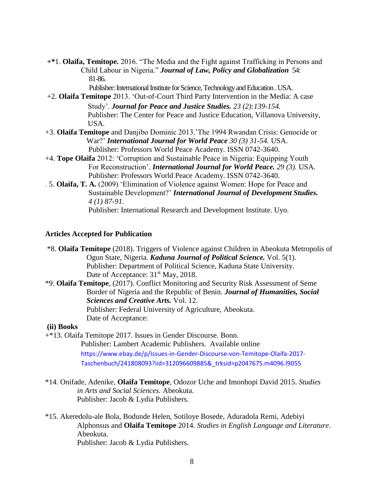**+\***1. **Olaifa, Temitope.** 2016. "The Media and the Fight against Trafficking in Persons and Child Labour in Nigeria." *Journal of Law, Policy and Globalization* 54: 81-86.

Publisher: International Institute for Science, Technology and Education . USA.

+2. **Olaifa Temitope** 2013. 'Out-of-Court Third Party Intervention in the Media: A case Study'. *Journal for Peace and Justice Studies. 23 (2):139-154.* Publisher: The Center for Peace and Justice Education, Villanova University, USA.

- +3. **Olaifa Temitope** and Danjibo Dominic 2013.'The 1994 Rwandan Crisis: Genocide or War?' *International Journal for World Peace 30 (3) 31-54.* USA. Publisher: Professors World Peace Academy*.* ISSN 0742-3640.
- +4. **Tope Olaifa** 2012: 'Corruption and Sustainable Peace in Nigeria: Equipping Youth For Reconstruction'. *International Journal for World Peace. 29 (3).* USA. Publisher: Professors World Peace Academy. ISSN 0742-3640.
- . 5. **Olaifa, T. A.** (2009) 'Elimination of Violence against Women: Hope for Peace and Sustainable Development?' *International Journal of Development Studies. 4 (1) 87-91.*  Publisher: International Research and Development Institute. Uyo.

#### **Articles Accepted for Publication**

\*8. **Olaifa Temitope** (2018). Triggers of Violence against Children in Abeokuta Metropolis of Ogun State, Nigeria. *Kaduna Journal of Political Science.* Vol. 5(1). Publisher: Department of Political Science, Kaduna State University. Date of Acceptance:  $31<sup>st</sup>$  May, 2018.

\*9. **Olaifa Temitope**, (2017). Conflict Monitoring and Security Risk Assessment of Seme Border of Nigeria and the Republic of Benin. *Journal of Humanities, Social Sciences and Creative Arts.* Vol. 12. Publisher: Federal University of Agriculture, Abeokuta. Date of Acceptance:

#### **(ii) Books**

+\*13. Olaifa Temitope 2017. Issues in Gender Discourse. Bonn.

 Publisher: Lambert Academic Publishers. Available online [https://www.ebay.de/p/Issues-in-Gender-Discourse-von-Temitope-Olaifa-2017-](https://www.ebay.de/p/Issues-in-Gender-Discourse-von-Temitope-Olaifa-2017-%20%20%20%20%20%20%20%20%20%20%20%20%20%20%20%20%20%20%20%20%20%20%20%20%20Taschenbuch/241808093?iid=312096609885&_trksid=p2047675.m4096.l9055) 

- [Taschenbuch/241808093?iid=312096609885&\\_trksid=p2047675.m4096.l9055](https://www.ebay.de/p/Issues-in-Gender-Discourse-von-Temitope-Olaifa-2017-%20%20%20%20%20%20%20%20%20%20%20%20%20%20%20%20%20%20%20%20%20%20%20%20%20Taschenbuch/241808093?iid=312096609885&_trksid=p2047675.m4096.l9055)
- \*14. Onifade, Adenike, **Olaifa Temitope**, Odozor Uche and Imonhopi David 2015. *Studies in Arts and Social Sciences.* Abeokuta. Publisher: Jacob & Lydia Publishers.
- \*15. Akeredolu-ale Bola, Bodunde Helen, Sotiloye Bosede, Aduradola Remi, Adebiyi Alphonsus and **Olaifa Temitope** 2014. *Studies in English Language and Literature*. Abeokuta. Publisher: Jacob & Lydia Publishers.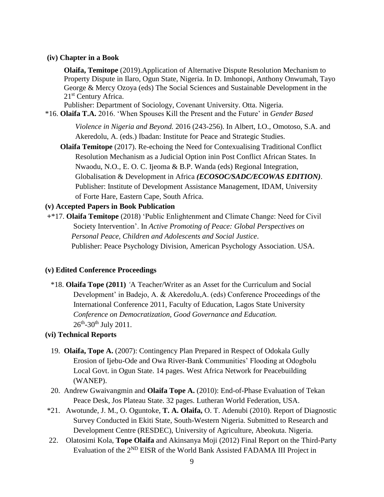#### **(iv) Chapter in a Book**

 **Olaifa, Temitope** (2019).Application of Alternative Dispute Resolution Mechanism to Property Dispute in Ilaro, Ogun State, Nigeria. In D. Imhonopi, Anthony Onwumah, Tayo George & Mercy Ozoya (eds) The Social Sciences and Sustainable Development in the 21<sup>st</sup> Century Africa.

Publisher: Department of Sociology, Covenant University. Otta. Nigeria.

\*16. **Olaifa T.A.** 2016. 'When Spouses Kill the Present and the Future' in *Gender Based* 

 *Violence in Nigeria and Beyond.* 2016 (243-256). In Albert, I.O., Omotoso, S.A. and Akeredolu, A. (eds.) Ibadan: Institute for Peace and Strategic Studies.

 **Olaifa Temitope** (2017). Re-echoing the Need for Contexualising Traditional Conflict Resolution Mechanism as a Judicial Option inin Post Conflict African States. In Nwaodu, N.O., E. O. C. Ijeoma & B.P. Wanda (eds) Regional Integration, Globalisation & Development in Africa *(ECOSOC/SADC/ECOWAS EDITION)*. Publisher: Institute of Development Assistance Management, IDAM, University of Forte Hare, Eastern Cape, South Africa.

#### **(v) Accepted Papers in Book Publication**

**+**\*17. **Olaifa Temitope** (2018) 'Public Enlightenment and Climate Change: Need for Civil Society Intervention'. In *Active Promoting of Peace: Global Perspectives on Personal Peace, Children and Adolescents and Social Justice*. Publisher: Peace Psychology Division, American Psychology Association. USA.

#### **(v) Edited Conference Proceedings**

 \*18. **Olaifa Tope (2011)** *'*A Teacher/Writer as an Asset for the Curriculum and Social Development' in Badejo, A. & Akeredolu,A. (eds) Conference Proceedings of the International Conference 2011, Faculty of Education, Lagos State University *Conference on Democratization, Good Governance and Education.*  $26^{\text{th}} - 30^{\text{th}}$  July 2011.

#### **(vi) Technical Reports**

- 19. **Olaifa, Tope A.** (2007): Contingency Plan Prepared in Respect of Odokala Gully Erosion of Ijebu-Ode and Owa River-Bank Communities' Flooding at Odogbolu Local Govt. in Ogun State. 14 pages. West Africa Network for Peacebuilding (WANEP).
- 20. Andrew Gwaivangmin and **Olaifa Tope A.** (2010): End-of-Phase Evaluation of Tekan Peace Desk, Jos Plateau State. 32 pages. Lutheran World Federation, USA.
- \*21. Awotunde, J. M., O. Oguntoke, **T. A. Olaifa,** O. T. Adenubi (2010). Report of Diagnostic Survey Conducted in Ekiti State, South-Western Nigeria. Submitted to Research and Development Centre (RESDEC), University of Agriculture, Abeokuta. Nigeria.
- 22. Olatosimi Kola, **Tope Olaifa** and Akinsanya Moji (2012) Final Report on the Third-Party Evaluation of the 2ND EISR of the World Bank Assisted FADAMA III Project in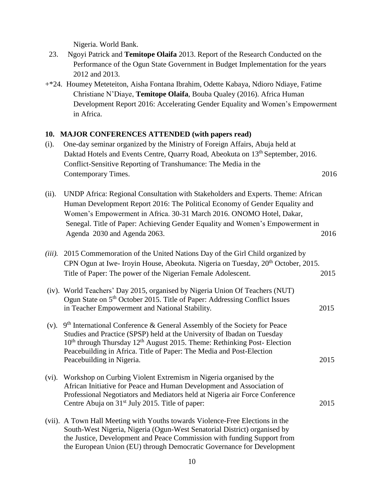Nigeria. World Bank.

- 23. Ngoyi Patrick and **Temitope Olaifa** 2013. Report of the Research Conducted on the Performance of the Ogun State Government in Budget Implementation for the years 2012 and 2013.
- +\*24. Houmey Meteteiton, Aisha Fontana Ibrahim, Odette Kabaya, Ndioro Ndiaye, Fatime Christiane N'Diaye, **Temitope Olaifa**, Bouba Qualey (2016). Africa Human Development Report 2016: Accelerating Gender Equality and Women's Empowerment in Africa.

#### **10. MAJOR CONFERENCES ATTENDED (with papers read)**

- (i). One-day seminar organized by the Ministry of Foreign Affairs, Abuja held at Daktad Hotels and Events Centre, Quarry Road, Abeokuta on 13<sup>th</sup> September, 2016. Conflict-Sensitive Reporting of Transhumance: The Media in the Contemporary Times. 2016
- (ii). UNDP Africa: Regional Consultation with Stakeholders and Experts. Theme: African Human Development Report 2016: The Political Economy of Gender Equality and Women's Empowerment in Africa. 30-31 March 2016. ONOMO Hotel, Dakar, Senegal. Title of Paper: Achieving Gender Equality and Women's Empowerment in Agenda 2030 and Agenda 2063. 2016

| $(iii)$ . | 2015 Commemoration of the United Nations Day of the Girl Child organized by<br>CPN Ogun at Iwe-Iroyin House, Abeokuta. Nigeria on Tuesday, 20 <sup>th</sup> October, 2015.                                                                                                                                                              |      |  |
|-----------|-----------------------------------------------------------------------------------------------------------------------------------------------------------------------------------------------------------------------------------------------------------------------------------------------------------------------------------------|------|--|
|           | Title of Paper: The power of the Nigerian Female Adolescent.                                                                                                                                                                                                                                                                            | 2015 |  |
|           | (iv). World Teachers' Day 2015, organised by Nigeria Union Of Teachers (NUT)<br>Ogun State on 5 <sup>th</sup> October 2015. Title of Paper: Addressing Conflict Issues<br>in Teacher Empowerment and National Stability.                                                                                                                | 2015 |  |
| $(v)$ .   | 9th International Conference & General Assembly of the Society for Peace<br>Studies and Practice (SPSP) held at the University of Ibadan on Tuesday<br>$10th$ through Thursday $12th$ August 2015. Theme: Rethinking Post-Election<br>Peacebuilding in Africa. Title of Paper: The Media and Post-Election<br>Peacebuilding in Nigeria. | 2015 |  |
| $(vi)$ .  | Workshop on Curbing Violent Extremism in Nigeria organised by the<br>African Initiative for Peace and Human Development and Association of<br>Professional Negotiators and Mediators held at Nigeria air Force Conference<br>Centre Abuja on 31 <sup>st</sup> July 2015. Title of paper:                                                | 2015 |  |
|           | (vii). A Town Hall Meeting with Youths towards Violence-Free Elections in the<br>South-West Nigeria, Nigeria (Ogun-West Senatorial District) organised by                                                                                                                                                                               |      |  |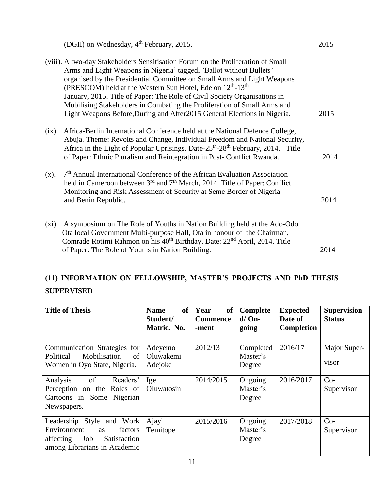(DGII) on Wednesday,  $4<sup>th</sup>$  February, 2015. 2015 (viii). A two-day Stakeholders Sensitisation Forum on the Proliferation of Small Arms and Light Weapons in Nigeria' tagged, 'Ballot without Bullets' organised by the Presidential Committee on Small Arms and Light Weapons (PRESCOM) held at the Western Sun Hotel, Ede on  $12^{th}$ -13<sup>th</sup> January, 2015. Title of Paper: The Role of Civil Society Organisations in Mobilising Stakeholders in Combating the Proliferation of Small Arms and Light Weapons Before,During and After2015 General Elections in Nigeria. 2015 (ix). Africa-Berlin International Conference held at the National Defence College, Abuja. Theme: Revolts and Change, Individual Freedom and National Security, Africa in the Light of Popular Uprisings. Date-25<sup>th</sup>-28<sup>th</sup> February, 2014. Title of Paper: Ethnic Pluralism and Reintegration in Post- Conflict Rwanda.2014  $(x)$ .  $7<sup>th</sup>$  Annual International Conference of the African Evaluation Association held in Cameroon between 3<sup>rd</sup> and 7<sup>th</sup> March, 2014. Title of Paper: Conflict Monitoring and Risk Assessment of Security at Seme Border of Nigeria and Benin Republic. 2014 (xi). A symposium on The Role of Youths in Nation Building held at the Ado-Odo Ota local Government Multi-purpose Hall, Ota in honour of the Chairman, Comrade Rotimi Rahmon on his 40<sup>th</sup> Birthday. Date: 22<sup>nd</sup> April, 2014. Title of Paper: The Role of Youths in Nation Building. 2014

# **(11) INFORMATION ON FELLOWSHIP, MASTER'S PROJECTS AND PhD THESIS SUPERVISED**

| <b>Title of Thesis</b>                                                                                                            | <b>of</b><br><b>Name</b><br>Student/<br>Matric. No. | Year<br><b>of</b><br><b>Commence</b><br>-ment | Complete<br>$d/On-$<br>going    | <b>Expected</b><br>Date of<br>Completion | <b>Supervision</b><br><b>Status</b> |
|-----------------------------------------------------------------------------------------------------------------------------------|-----------------------------------------------------|-----------------------------------------------|---------------------------------|------------------------------------------|-------------------------------------|
| Communication Strategies for<br>Mobilisation<br>Political<br>of<br>Women in Oyo State, Nigeria.                                   | Adeyemo<br>Oluwakemi<br>Adejoke                     | 2012/13                                       | Completed<br>Master's<br>Degree | 2016/17                                  | Major Super-<br>visor               |
| $\circ$ f<br>Analysis<br>Readers'<br>Perception on the Roles of<br>Cartoons in Some Nigerian<br>Newspapers.                       | Ige<br>Oluwatosin                                   | 2014/2015                                     | Ongoing<br>Master's<br>Degree   | 2016/2017                                | $Co-$<br>Supervisor                 |
| Leadership Style and Work<br>Environment<br>factors<br><b>as</b><br>Satisfaction<br>affecting Job<br>among Librarians in Academic | Ajayi<br>Temitope                                   | 2015/2016                                     | Ongoing<br>Master's<br>Degree   | 2017/2018                                | $Co-$<br>Supervisor                 |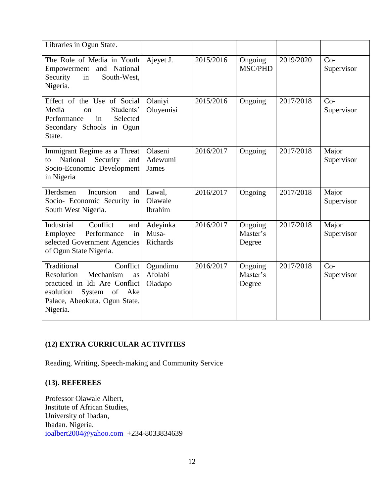| Libraries in Ogun State.                                                                                                                                                |                                |           |                               |           |                     |
|-------------------------------------------------------------------------------------------------------------------------------------------------------------------------|--------------------------------|-----------|-------------------------------|-----------|---------------------|
| The Role of Media in Youth<br>Empowerment and National<br>Security<br>South-West,<br>in<br>Nigeria.                                                                     | Ajeyet J.                      | 2015/2016 | Ongoing<br><b>MSC/PHD</b>     | 2019/2020 | $Co-$<br>Supervisor |
| Effect of the Use of Social<br>Media<br>Students'<br>on<br>in<br>Selected<br>Performance<br>Secondary Schools in Ogun<br>State.                                         | Olaniyi<br>Oluyemisi           | 2015/2016 | Ongoing                       | 2017/2018 | $Co-$<br>Supervisor |
| Immigrant Regime as a Threat<br>National<br>Security<br>and<br>to<br>Socio-Economic Development<br>in Nigeria                                                           | Olaseni<br>Adewumi<br>James    | 2016/2017 | Ongoing                       | 2017/2018 | Major<br>Supervisor |
| Incursion<br>Herdsmen<br>and<br>Socio- Economic Security in<br>South West Nigeria.                                                                                      | Lawal,<br>Olawale<br>Ibrahim   | 2016/2017 | Ongoing                       | 2017/2018 | Major<br>Supervisor |
| Industrial<br>Conflict<br>and<br>Performance<br>in<br>Employee<br>selected Government Agencies<br>of Ogun State Nigeria.                                                | Adeyinka<br>Musa-<br>Richards  | 2016/2017 | Ongoing<br>Master's<br>Degree | 2017/2018 | Major<br>Supervisor |
| Traditional<br>Conflict<br>Resolution<br>Mechanism<br>as<br>practiced in Idi Are Conflict<br>esolution<br>System of<br>Ake<br>Palace, Abeokuta. Ogun State.<br>Nigeria. | Ogundimu<br>Afolabi<br>Oladapo | 2016/2017 | Ongoing<br>Master's<br>Degree | 2017/2018 | $Co-$<br>Supervisor |

# **(12) EXTRA CURRICULAR ACTIVITIES**

Reading, Writing, Speech-making and Community Service

# **(13). REFEREES**

Professor Olawale Albert, Institute of African Studies, University of Ibadan, Ibadan. Nigeria. [ioalbert2004@yahoo.com](mailto:ioalbert2004@yahoo.com) +234-8033834639